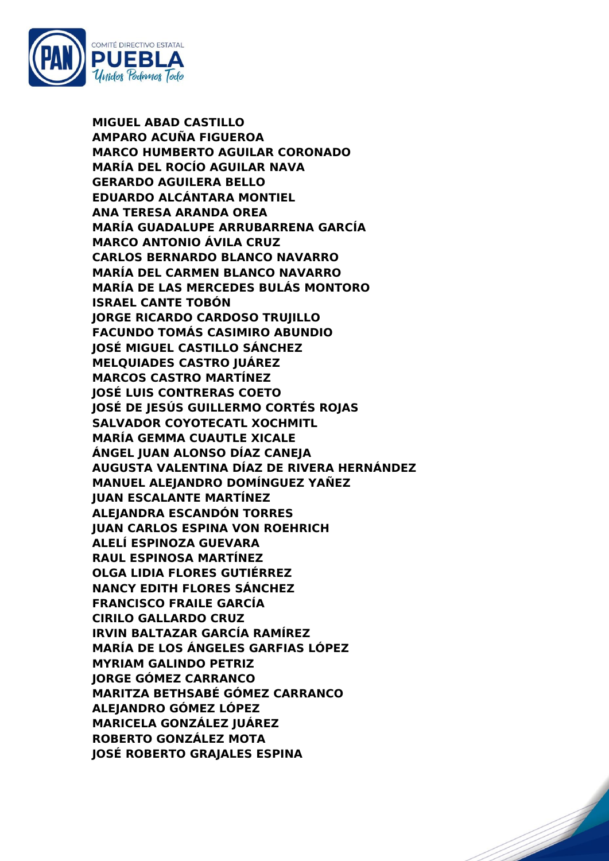

**MIGUEL ABAD CASTILLO AMPARO ACUÑA FIGUEROA MARCO HUMBERTO AGUILAR CORONADO MARÍA DEL ROCÍO AGUILAR NAVA GERARDO AGUILERA BELLO EDUARDO ALCÁNTARA MONTIEL ANA TERESA ARANDA OREA MARÍA GUADALUPE ARRUBARRENA GARCÍA MARCO ANTONIO ÁVILA CRUZ CARLOS BERNARDO BLANCO NAVARRO MARÍA DEL CARMEN BLANCO NAVARRO MARÍA DE LAS MERCEDES BULÁS MONTORO ISRAEL CANTE TOBÓN JORGE RICARDO CARDOSO TRUJILLO FACUNDO TOMÁS CASIMIRO ABUNDIO JOSÉ MIGUEL CASTILLO SÁNCHEZ MELQUIADES CASTRO JUÁREZ MARCOS CASTRO MARTÍNEZ JOSÉ LUIS CONTRERAS COETO JOSÉ DE JESÚS GUILLERMO CORTÉS ROJAS SALVADOR COYOTECATL XOCHMITL MARÍA GEMMA CUAUTLE XICALE ÁNGEL JUAN ALONSO DÍAZ CANEJA AUGUSTA VALENTINA DÍAZ DE RIVERA HERNÁNDEZ MANUEL ALEJANDRO DOMÍNGUEZ YAÑEZ JUAN ESCALANTE MARTÍNEZ ALEJANDRA ESCANDÓN TORRES JUAN CARLOS ESPINA VON ROEHRICH ALELÍ ESPINOZA GUEVARA RAUL ESPINOSA MARTÍNEZ OLGA LIDIA FLORES GUTIÉRREZ NANCY EDITH FLORES SÁNCHEZ FRANCISCO FRAILE GARCÍA CIRILO GALLARDO CRUZ IRVIN BALTAZAR GARCÍA RAMÍREZ MARÍA DE LOS ÁNGELES GARFIAS LÓPEZ MYRIAM GALINDO PETRIZ JORGE GÓMEZ CARRANCO MARITZA BETHSABÉ GÓMEZ CARRANCO ALEJANDRO GÓMEZ LÓPEZ MARICELA GONZÁLEZ JUÁREZ ROBERTO GONZÁLEZ MOTA JOSÉ ROBERTO GRAJALES ESPINA**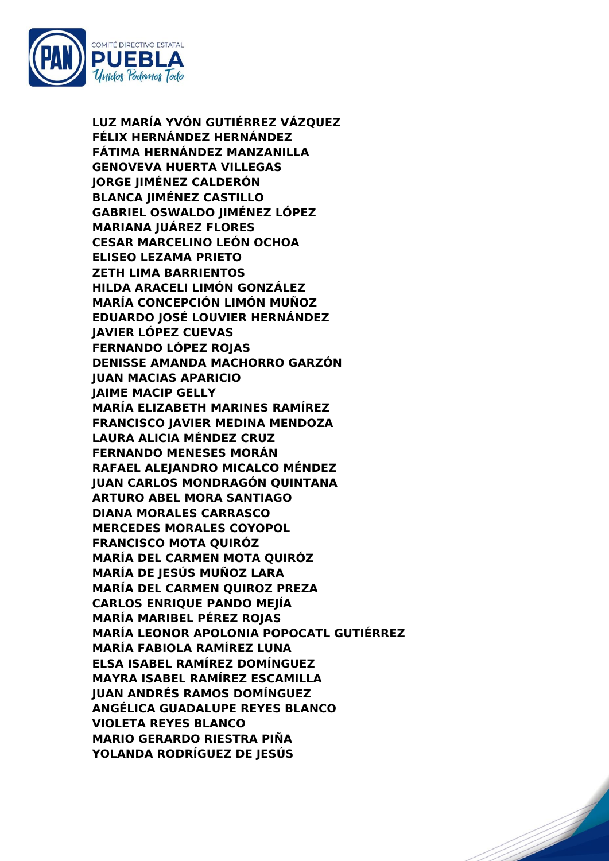

**LUZ MARÍA YVÓN GUTIÉRREZ VÁZQUEZ FÉLIX HERNÁNDEZ HERNÁNDEZ FÁTIMA HERNÁNDEZ MANZANILLA GENOVEVA HUERTA VILLEGAS JORGE JIMÉNEZ CALDERÓN BLANCA JIMÉNEZ CASTILLO GABRIEL OSWALDO JIMÉNEZ LÓPEZ MARIANA JUÁREZ FLORES CESAR MARCELINO LEÓN OCHOA ELISEO LEZAMA PRIETO ZETH LIMA BARRIENTOS HILDA ARACELI LIMÓN GONZÁLEZ MARÍA CONCEPCIÓN LIMÓN MUÑOZ EDUARDO JOSÉ LOUVIER HERNÁNDEZ JAVIER LÓPEZ CUEVAS FERNANDO LÓPEZ ROJAS DENISSE AMANDA MACHORRO GARZÓN JUAN MACIAS APARICIO JAIME MACIP GELLY MARÍA ELIZABETH MARINES RAMÍREZ FRANCISCO JAVIER MEDINA MENDOZA LAURA ALICIA MÉNDEZ CRUZ FERNANDO MENESES MORÁN RAFAEL ALEJANDRO MICALCO MÉNDEZ JUAN CARLOS MONDRAGÓN QUINTANA ARTURO ABEL MORA SANTIAGO DIANA MORALES CARRASCO MERCEDES MORALES COYOPOL FRANCISCO MOTA QUIRÓZ MARÍA DEL CARMEN MOTA QUIRÓZ MARÍA DE JESÚS MUÑOZ LARA MARÍA DEL CARMEN QUIROZ PREZA CARLOS ENRIQUE PANDO MEJÍA MARÍA MARIBEL PÉREZ ROJAS MARÍA LEONOR APOLONIA POPOCATL GUTIÉRREZ MARÍA FABIOLA RAMÍREZ LUNA ELSA ISABEL RAMÍREZ DOMÍNGUEZ MAYRA ISABEL RAMÍREZ ESCAMILLA JUAN ANDRÉS RAMOS DOMÍNGUEZ ANGÉLICA GUADALUPE REYES BLANCO VIOLETA REYES BLANCO MARIO GERARDO RIESTRA PIÑA YOLANDA RODRÍGUEZ DE JESÚS**